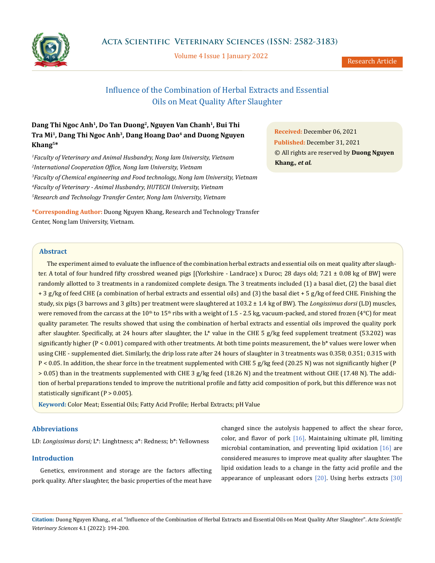

Volume 4 Issue 1 January 2022

Research Article

# Influence of the Combination of Herbal Extracts and Essential Oils on Meat Quality After Slaughter

## **Dang Thi Ngoc Anh1, Do Tan Duong2, Nguyen Van Chanh1, Bui Thi Tra Mi1, Dang Thi Ngoc Anh3, Dang Hoang Dao4 and Duong Nguyen Khang5\***

 *Faculty of Veterinary and Animal Husbandry, Nong lam University, Vietnam International Cooperation Office, Nong lam University, Vietnam Faculty of Chemical engineering and Food technology, Nong lam University, Vietnam Faculty of Veterinary - Animal Husbandry, HUTECH University, Vietnam Research and Technology Transfer Center, Nong lam University, Vietnam*

**\*Corresponding Author:** Duong Nguyen Khang, Research and Technology Transfer Center, Nong lam University, Vietnam.

**Received:** December 06, 2021 **Published:** December 31, 2021 © All rights are reserved by **Duong Nguyen Khang***., et al.*

#### **Abstract**

The experiment aimed to evaluate the influence of the combination herbal extracts and essential oils on meat quality after slaughter. A total of four hundred fifty crossbred weaned pigs [(Yorkshire - Landrace) x Duroc; 28 days old; 7.21 ± 0.08 kg of BW] were randomly allotted to 3 treatments in a randomized complete design. The 3 treatments included (1) a basal diet, (2) the basal diet + 3 g/kg of feed CHE (a combination of herbal extracts and essential oils) and (3) the basal diet + 5 g/kg of feed CHE. Finishing the study, six pigs (3 barrows and 3 gilts) per treatment were slaughtered at 103.2 ± 1.4 kg of BW). The *Longissimus dorsi* (LD) muscles, were removed from the carcass at the  $10<sup>th</sup>$  to  $15<sup>th</sup>$  ribs with a weight of 1.5 - 2.5 kg, vacuum-packed, and stored frozen (4°C) for meat quality parameter. The results showed that using the combination of herbal extracts and essential oils improved the quality pork after slaughter. Specifically, at 24 hours after slaughter, the L\* value in the CHE 5 g/kg feed supplement treatment (53.202) was significantly higher  $(P < 0.001)$  compared with other treatments. At both time points measurement, the  $b^*$  values were lower when using CHE - supplemented diet. Similarly, the drip loss rate after 24 hours of slaughter in 3 treatments was 0.358; 0.351; 0.315 with P < 0.05. In addition, the shear force in the treatment supplemented with CHE 5 g/kg feed (20.25 N) was not significantly higher (P > 0.05) than in the treatments supplemented with CHE 3 g/kg feed (18.26 N) and the treatment without CHE (17.48 N). The addition of herbal preparations tended to improve the nutritional profile and fatty acid composition of pork, but this difference was not statistically significant (P > 0.005).

**Keyword:** Color Meat; Essential Oils; Fatty Acid Profile; Herbal Extracts; pH Value

## **Abbreviations**

LD: *Longissimus dorsi;* L\*: Linghtness; a\*: Redness; b\*: Yellowness

## **Introduction**

Genetics, environment and storage are the factors affecting pork quality. After slaughter, the basic properties of the meat have

changed since the autolysis happened to affect the shear force, color, and flavor of pork [16]. Maintaining ultimate pH, limiting microbial contamination, and preventing lipid oxidation  $[16]$  are considered measures to improve meat quality after slaughter. The lipid oxidation leads to a change in the fatty acid profile and the appearance of unpleasant odors  $[20]$ . Using herbs extracts  $[30]$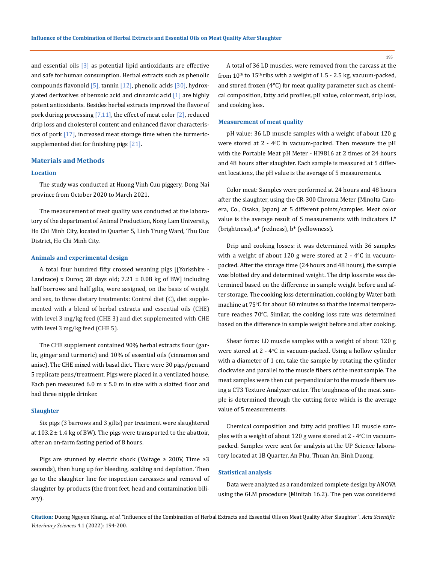and essential oils [3] as potential lipid antioxidants are effective and safe for human consumption. Herbal extracts such as phenolic compounds flavonoid  $[5]$ , tannin  $[12]$ , phenolic acids  $[30]$ , hydroxylated derivatives of benzoic acid and cinnamic acid [1] are highly potent antioxidants. Besides herbal extracts improved the flavor of pork during processing  $[7,11]$ , the effect of meat color  $[2]$ , reduced drip loss and cholesterol content and enhanced flavor characteristics of pork [17], increased meat storage time when the turmericsupplemented diet for finishing pigs [21].

#### **Materials and Methods**

#### **Location**

The study was conducted at Huong Vinh Cuu piggery, Dong Nai province from October 2020 to March 2021.

The measurement of meat quality was conducted at the laboratory of the department of Animal Production, Nong Lam University, Ho Chi Minh City, located in Quarter 5, Linh Trung Ward, Thu Duc District, Ho Chi Minh City.

#### **Animals and experimental design**

A total four hundred fifty crossed weaning pigs [(Yorkshire - Landrace) x Duroc; 28 days old;  $7.21 \pm 0.08$  kg of BW] including half borrows and half gilts, were assigned, on the basis of weight and sex, to three dietary treatments: Control diet (C), diet supplemented with a blend of herbal extracts and essential oils (CHE) with level 3 mg/kg feed (CHE 3) and diet supplemented with CHE with level 3 mg/kg feed (CHE 5).

The CHE supplement contained 90% herbal extracts flour (garlic, ginger and turmeric) and 10% of essential oils (cinnamon and anise). The CHE mixed with basal diet. There were 30 pigs/pen and 5 replicate pens/treatment. Pigs were placed in a ventilated house. Each pen measured 6.0 m x 5.0 m in size with a slatted floor and had three nipple drinker.

#### **Slaughter**

Six pigs (3 barrows and 3 gilts) per treatment were slaughtered at  $103.2 \pm 1.4$  kg of BW). The pigs were transported to the abattoir, after an on-farm fasting period of 8 hours.

Pigs are stunned by electric shock (Voltage  $\geq$  200V, Time  $\geq$ 3 seconds), then hung up for bleeding, scalding and depilation. Then go to the slaughter line for inspection carcasses and removal of slaughter by-products (the front feet, head and contamination biliary).

A total of 36 LD muscles, were removed from the carcass at the from  $10^{\text{th}}$  to  $15^{\text{th}}$  ribs with a weight of 1.5 - 2.5 kg, vacuum-packed, and stored frozen (4°C) for meat quality parameter such as chemical composition, fatty acid profiles, pH value, color meat, drip loss, and cooking loss.

#### **Measurement of meat quality**

pH value: 36 LD muscle samples with a weight of about 120 g were stored at  $2$  - 4°C in vacuum-packed. Then measure the  $pH$ with the Portable Meat pH Meter - HI9816 at 2 times of 24 hours and 48 hours after slaughter. Each sample is measured at 5 different locations, the pH value is the average of 5 measurements.

Color meat: Samples were performed at 24 hours and 48 hours after the slaughter, using the CR-300 Chroma Meter (Minolta Camera, Co., Osaka, Japan) at 5 different points/samples. Meat color value is the average result of 5 measurements with indicators L\* (brightness), a\* (redness), b\* (yellowness).

Drip and cooking losses: it was determined with 36 samples with a weight of about  $120$  g were stored at  $2$  -  $4^{\circ}$ C in vacuumpacked. After the storage time (24 hours and 48 hours), the sample was blotted dry and determined weight. The drip loss rate was determined based on the difference in sample weight before and after storage. The cooking loss determination, cooking by Water bath machine at  $75^{\circ}$ C for about 60 minutes so that the internal temperature reaches 70°C. Similar, the cooking loss rate was determined based on the difference in sample weight before and after cooking.

Shear force: LD muscle samples with a weight of about 120 g were stored at 2 - 4°C in vacuum-packed. Using a hollow cylinder with a diameter of 1 cm, take the sample by rotating the cylinder clockwise and parallel to the muscle fibers of the meat sample. The meat samples were then cut perpendicular to the muscle fibers using a CT3 Texture Analyzer cutter. The toughness of the meat sample is determined through the cutting force which is the average value of 5 measurements.

Chemical composition and fatty acid profiles: LD muscle samples with a weight of about  $120$  g were stored at  $2$  -  $4^{\circ}$ C in vacuumpacked. Samples were sent for analysis at the UP Science laboratory located at 1B Quarter, An Phu, Thuan An, Binh Duong.

#### **Statistical analysis**

Data were analyzed as a randomized complete design by ANOVA using the GLM procedure (Minitab 16.2). The pen was considered

**Citation:** Duong Nguyen Khang*., et al.* "Influence of the Combination of Herbal Extracts and Essential Oils on Meat Quality After Slaughter". *Acta Scientific Veterinary Sciences* 4.1 (2022): 194-200.

195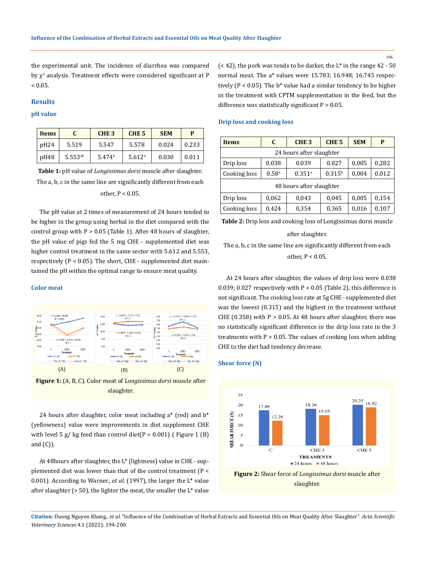196

the experimental unit. The incidence of diarrhea was compared by  $\chi^2$  analysis. Treatment effects were considered significant at P  $< 0.05$ .

#### **Results**

## **pH value**

| <b>Items</b> |              | CHE <sub>3</sub>   | CHE <sub>5</sub>   | <b>SEM</b> | р     |
|--------------|--------------|--------------------|--------------------|------------|-------|
| pH24         | 5.519        | 5.547              | 5.578              | 0.024      | 0.233 |
| pH48         | $5.553^{ab}$ | 5.474 <sup>b</sup> | 5.612 <sup>a</sup> | 0.030      | 0.011 |

**Table 1:** pH value of *Longissimus dorsi* muscle after slaughter. The a, b, c in the same line are significantly different from each other, P < 0.05.

The pH value at 2 times of measurement of 24 hours tended to be higher in the group using herbal in the diet compared with the control group with  $P > 0.05$  (Table 1). After 48 hours of slaughter, the pH value of pigs fed the 5 mg CHE - supplemented diet was higher control treatment in the same sector with 5.612 and 5.553, respectively  $(P < 0.05)$ . The short, CHE - supplemented diet maintained the pH within the optimal range to ensure meat quality.

#### **Color meat**



**Figure 1:** (A, B, C). Color meat of *Longissimus dorsi* muscle after slaughter.

24 hours after slaughter, color meat including  $a^*$  (red) and  $b^*$ (yellowness) value were improvements in diet supplement CHE with level 5 g/ kg feed than control diet( $P < 0.001$ ) (Figure 1 (B) and  $(C)$ ).

At 48hours after slaughter, the L\* (lightness) value in CHE - supplemented diet was lower than that of the control treatment (P < 0.001). According to Warner., *et al*. (1997), the larger the L\* value after slaughter ( $> 50$ ), the lighter the meat, the smaller the  $L^*$  value  $($  < 42), the pork was tends to be darker, the  $L^*$  in the range 42 - 50 normal meat. The a\* values were 15.783; 16.948; 16.745 respectively ( $P < 0.05$ ). The  $b^*$  value had a similar tendency to be higher in the treatment with CPTM supplementation in the feed, but the difference was statistically significant  $P > 0.05$ .

#### **Drip loss and cooking loss**

| <b>Items</b>             | C                   | CHE <sub>3</sub>     | CHE <sub>5</sub> | <b>SEM</b> | P     |  |  |  |
|--------------------------|---------------------|----------------------|------------------|------------|-------|--|--|--|
| 24 hours after slaughter |                     |                      |                  |            |       |  |  |  |
| Drip loss                | 0.038               | 0.039                | 0.027            | 0,005      | 0,282 |  |  |  |
| Cooking loss             | $0.58$ <sup>a</sup> | $0.351$ <sup>a</sup> | $0.315^{b}$      | 0,004      | 0,012 |  |  |  |
| 48 hours after slaughter |                     |                      |                  |            |       |  |  |  |
| Drip loss                | 0,062               | 0,043                | 0,045            | 0,005      | 0,154 |  |  |  |
| Cooking loss             | 0,424               | 0,354                | 0,365            | 0,016      | 0,107 |  |  |  |

**Table 2:** Drip loss and cooking loss of Longissimus dorsi muscle

#### after slaughter.

The a, b, c in the same line are significantly different from each other, P < 0.05.

At 24 hours after slaughter, the values of drip loss were 0.038 0.039; 0.027 respectively with  $P > 0.05$  (Table 2), this difference is not significant. The cooking loss rate at 5g CHE - supplemented diet was the lowest (0.315) and the highest in the treatment without CHE  $(0.358)$  with P > 0.05. At 48 hours after slaughter, there was no statistically significant difference in the drip loss rate in the 3 treatments with  $P > 0.05$ . The values of cooking loss when adding CHE to the diet had tendency decrease.

#### **Shear force (N)**



**Figure 2:** Shear force of *Longissimus dorsi* muscle after slaughter.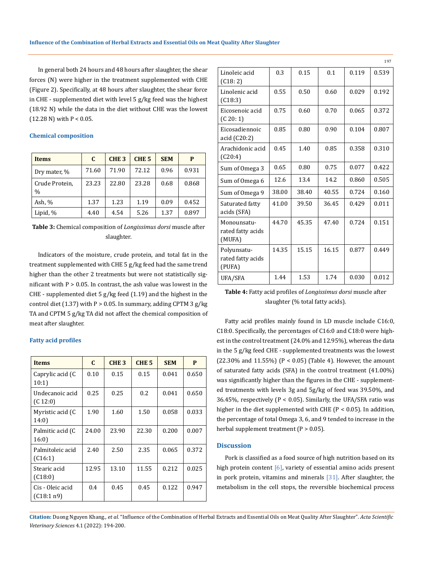In general both 24 hours and 48 hours after slaughter, the shear forces (N) were higher in the treatment supplemented with CHE (Figure 2). Specifically, at 48 hours after slaughter, the shear force in CHE - supplemented diet with level 5 g/kg feed was the highest (18.92 N) while the data in the diet without CHE was the lowest  $(12.28 \text{ N})$  with P < 0.05.

#### **Chemical composition**

| <b>Items</b>                    | C.    | CHE <sub>3</sub> | CHE <sub>5</sub> | <b>SEM</b> | P     |
|---------------------------------|-------|------------------|------------------|------------|-------|
| Dry mater, %                    | 71.60 | 71.90            | 72.12            | 0.96       | 0.931 |
| Crude Protein,<br>$\frac{0}{0}$ | 23.23 | 22.80            | 23.28            | 0.68       | 0.868 |
| Ash, %                          | 1.37  | 1.23             | 1.19             | 0.09       | 0.452 |
| Lipid, %                        | 4.40  | 4.54             | 5.26             | 1.37       | 0.897 |

**Table 3:** Chemical composition of *Longissimus dorsi* muscle after slaughter.

Indicators of the moisture, crude protein, and total fat in the treatment supplemented with CHE 5 g/kg feed had the same trend higher than the other 2 treatments but were not statistically significant with  $P > 0.05$ . In contrast, the ash value was lowest in the CHE - supplemented diet 5 g/kg feed (1.19) and the highest in the control diet (1.37) with  $P > 0.05$ . In summary, adding CPTM 3 g/kg TA and CPTM 5 g/kg TA did not affect the chemical composition of meat after slaughter.

## **Fatty acid profiles**

| <b>Items</b>                   | C     | CHE <sub>3</sub> | CHE <sub>5</sub> | <b>SEM</b> | P     |
|--------------------------------|-------|------------------|------------------|------------|-------|
| Caprylic acid (C<br>10:1)      | 0.10  | 0.15             | 0.15             | 0.041      | 0.650 |
| Undecanoic acid<br>(C 12:0)    | 0.25  | 0.25             | 0.2              | 0.041      | 0.650 |
| Myristic acid (C<br>14:0)      | 1.90  | 1.60             | 1.50             | 0.058      | 0.033 |
| Palmitic acid (C<br>16:0)      | 24.00 | 23.90            | 22.30            | 0.200      | 0.007 |
| Palmitoleic acid<br>(C16:1)    | 2.40  | 2.50             | 2.35             | 0.065      | 0.372 |
| Stearic acid<br>(C18:0)        | 12.95 | 13.10            | 11.55            | 0.212      | 0.025 |
| Cis - Oleic acid<br>(C18:1 n9) | 0.4   | 0.45             | 0.45             | 0.122      | 0.947 |

|                                            |       |       |       |       | <b>1</b> 27 |
|--------------------------------------------|-------|-------|-------|-------|-------------|
| Linoleic acid<br>(C18:2)                   | 0.3   | 0.15  | 0.1   | 0.119 | 0.539       |
| Linolenic acid<br>(C18:3)                  | 0.55  | 0.50  | 0.60  | 0.029 | 0.192       |
| Eicosenoic acid<br>(C 20: 1)               | 0.75  | 0.60  | 0.70  | 0.065 | 0.372       |
| Eicosadiennoic<br>acid (C20:2)             | 0.85  | 0.80  | 0.90  | 0.104 | 0.807       |
| Arachidonic acid<br>(C20:4)                | 0.45  | 1.40  | 0.85  | 0.358 | 0.310       |
| Sum of Omega 3                             | 0.65  | 0.80  | 0.75  | 0.077 | 0.422       |
| Sum of Omega 6                             | 12.6  | 13.4  | 14.2  | 0.860 | 0.505       |
| Sum of Omega 9                             | 38.00 | 38.40 | 40.55 | 0.724 | 0.160       |
| Saturated fatty<br>acids (SFA)             | 41.00 | 39.50 | 36.45 | 0.429 | 0.011       |
| Monounsatu-<br>rated fatty acids<br>(MUFA) | 44.70 | 45.35 | 47.40 | 0.724 | 0.151       |
| Polyunsatu-<br>rated fatty acids<br>(PUFA) | 14.35 | 15.15 | 16.15 | 0.877 | 0.449       |
| UFA/SFA                                    | 1.44  | 1.53  | 1.74  | 0.030 | 0.012       |

 $107$ 

**Table 4:** Fatty acid profiles of *Longissimus dorsi* muscle after slaughter (% total fatty acids).

Fatty acid profiles mainly found in LD muscle include C16:0, C18:0. Specifically, the percentages of C16:0 and C18:0 were highest in the control treatment (24.0% and 12.95%), whereas the data in the 5 g/kg feed CHE - supplemented treatments was the lowest (22.30% and 11.55%) ( $P < 0.05$ ) (Table 4). However, the amount of saturated fatty acids (SFA) in the control treatment (41.00%) was significantly higher than the figures in the CHE - supplemented treatments with levels 3g and 5g/kg of feed was 39.50%, and 36.45%, respectively ( $P < 0.05$ ). Similarly, the UFA/SFA ratio was higher in the diet supplemented with CHE ( $P < 0.05$ ). In addition, the percentage of total Omega 3, 6, and 9 tended to increase in the herbal supplement treatment  $(P > 0.05)$ .

#### **Discussion**

Pork is classified as a food source of high nutrition based on its high protein content  $[6]$ , variety of essential amino acids present in pork protein, vitamins and minerals [31]. After slaughter, the metabolism in the cell stops, the reversible biochemical process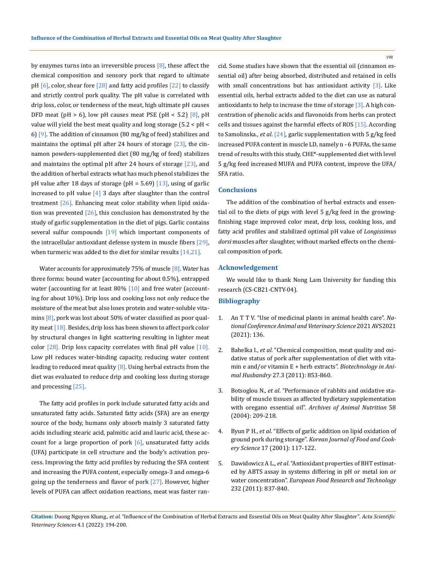by enzymes turns into an irreversible process  $[8]$ , these affect the chemical composition and sensory pork that regard to ultimate pH  $[6]$ , color, shear fore  $[28]$  and fatty acid profiles  $[22]$  to classify and strictly control pork quality. The pH value is correlated with drip loss, color, or tenderness of the meat, high ultimate pH causes DFD meat (pH  $> 6$ ), low pH causes meat PSE (pH < 5.2) [8], pH value will yield the best meat quality and long storage (5.2 < pH < 6)  $[9]$ . The addition of cinnamon (80 mg/kg of feed) stabilizes and maintains the optimal pH after 24 hours of storage  $[23]$ , the cinnamon powders-supplemented diet (80 mg/kg of feed) stabilizes and maintains the optimal pH after 24 hours of storage  $[23]$ , and the addition of herbal extracts what has much phenol stabilizes the pH value after 18 days of storage (pH =  $5.69$ ) [13], using of garlic increased to pH value  $[4]$  3 days after slaughter than the control treatment [26]. Enhancing meat color stability when lipid oxidation was prevented  $[26]$ , this conclusion has demonstrated by the study of garlic supplementation in the diet of pigs. Garlic contains several sulfur compounds  $[19]$  which important components of the intracellular antioxidant defense system in muscle fibers [29], when turmeric was added to the diet for similar results [14,21].

Water accounts for approximately 75% of muscle [8]. Water has three forms: bound water (accounting for about 0.5%), entrapped water (accounting for at least  $80\%$  [10] and free water (accounting for about 10%). Drip loss and cooking loss not only reduce the moisture of the meat but also loses protein and water-soluble vitamins  $[8]$ , pork was lost about 50% of water classified as poor quality meat [18]. Besides, drip loss has been shown to affect pork color by structural changes in light scattering resulting in lighter meat color  $[28]$ . Drip loss capacity correlates with final pH value  $[10]$ . Low pH reduces water-binding capacity, reducing water content leading to reduced meat quality  $[8]$ . Using herbal extracts from the diet was evaluated to reduce drip and cooking loss during storage and processing [25].

The fatty acid profiles in pork include saturated fatty acids and unsaturated fatty acids. Saturated fatty acids (SFA) are an energy source of the body, humans only absorb mainly 3 saturated fatty acids including stearic acid, palmitic acid and lauric acid, these account for a large proportion of pork  $[6]$ , unsaturated fatty acids (UFA) participate in cell structure and the body's activation process. Improving the fatty acid profiles by reducing the SFA content and increasing the PUFA content, especially omega-3 and omega-6 going up the tenderness and flavor of pork  $[27]$ . However, higher levels of PUFA can affect oxidation reactions, meat was faster rancid. Some studies have shown that the essential oil (cinnamon essential oil) after being absorbed, distributed and retained in cells with small concentrations but has antioxidant activity [3]. Like essential oils, herbal extracts added to the diet can use as natural antioxidants to help to increase the time of storage [3]. A high concentration of phenolic acids and flavonoids from herbs can protect cells and tissues against the harmful effects of ROS [15]. According to Samolinska., *et al*. [24], garlic supplementation with 5 g/kg feed increased PUFA content in muscle LD, namely n - 6 PUFAs, the same trend of results with this study, CHE\*-supplemented diet with level 5 g/kg feed increased MUFA and PUFA content, improve the UFA/ SFA ratio.

## **Conclusions**

The addition of the combination of herbal extracts and essential oil to the diets of pigs with level 5 g/kg feed in the growingfinishing stage improved color meat, drip loss, cooking loss, and fatty acid profiles and stabilized optimal pH value of *Longissimus dorsi* muscles after slaughter, without marked effects on the chemical composition of pork.

## **Acknowledgement**

We would like to thank Nong Lam University for funding this research (CS-CB21-CNTY-04).

#### **Bibliography**

- 1. An T T V. "Use of medicinal plants in animal health care". *National Conference Animal and Veterinary Science* 2021 AVS2021 (2021): 136.
- 2. Bahelka I., *et al*. "Chemical composition, meat quality and oxidative status of pork after supplementation of diet with vitamin e and/or vitamin E + herb extracts". *Biotechnology in Animal Husbandry* 27.3 (2011): 853-860.
- 3. Botsoglou N., *et al*[. "Performance of rabbits and oxidative sta](https://pubmed.ncbi.nlm.nih.gov/15264670/)[bility of muscle tissues as affected bydietary supplementation](https://pubmed.ncbi.nlm.nih.gov/15264670/)  with oregano essential oil". *[Archives of Animal Nutrition](https://pubmed.ncbi.nlm.nih.gov/15264670/)* 58 [\(2004\): 209-218.](https://pubmed.ncbi.nlm.nih.gov/15264670/)
- 4. Byun P H., *et al*[. "Effects of garlic addition on lipid oxidation of](https://www.ncbi.nlm.nih.gov/pmc/articles/PMC4662226/)  ground pork during storage". *[Korean Journal of Food and Cook](https://www.ncbi.nlm.nih.gov/pmc/articles/PMC4662226/)ery Science* [17 \(2001\): 117-122.](https://www.ncbi.nlm.nih.gov/pmc/articles/PMC4662226/)
- 5. Dawidowicz A L., *et al*[. "Antioxidant properties of BHT estimat](https://doi.org/10.1007/s00217-011-1451-7)[ed by ABTS assay in systems differing in pH or metal ion or](https://doi.org/10.1007/s00217-011-1451-7)  water concentration". *[European Food Research and Technology](https://doi.org/10.1007/s00217-011-1451-7)* [232 \(2011\): 837-840.](https://doi.org/10.1007/s00217-011-1451-7)

198

**Citation:** Duong Nguyen Khang*., et al.* "Influence of the Combination of Herbal Extracts and Essential Oils on Meat Quality After Slaughter". *Acta Scientific Veterinary Sciences* 4.1 (2022): 194-200.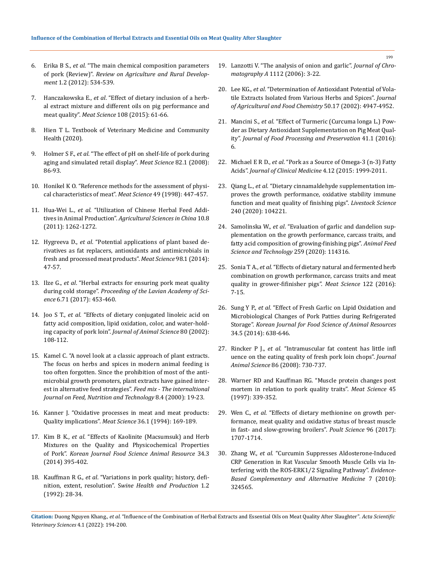- 6. Erika B S., *et al*[. "The main chemical composition parameters](https://ojs.bibl.u-szeged.hu/index.php/rard/article/view/13264)  of pork (Review)". *[Review on Agriculture and Rural Develop](https://ojs.bibl.u-szeged.hu/index.php/rard/article/view/13264)ment* [1.2 \(2012\): 534-539.](https://ojs.bibl.u-szeged.hu/index.php/rard/article/view/13264)
- 7. Hanczakowska E., *et al*[. "Effect of dietary inclusion of a herb](https://doi.org/10.1016/j.meatsci.2015.05.020)[al extract mixture and different oils on pig performance and](https://doi.org/10.1016/j.meatsci.2015.05.020)  meat quality". *Meat Science* [108 \(2015\): 61-66.](https://doi.org/10.1016/j.meatsci.2015.05.020)
- 8. Hien T L. Textbook of Veterinary Medicine and Community Health (2020).
- 9. Holmer S F., *et al*[. "The effect of pH on shelf-life of pork during](https://doi.org/10.1016/j.meatsci.2008.12.008)  [aging and simulated retail display".](https://doi.org/10.1016/j.meatsci.2008.12.008) *Meat Science* 82.1 (2008): [86-93.](https://doi.org/10.1016/j.meatsci.2008.12.008)
- 10. [Honikel K O. "Reference methods for the assessment of physi](https://doi.org/10.1016/S0309-1740(98)00034-5)[cal characteristics of meat".](https://doi.org/10.1016/S0309-1740(98)00034-5) *Meat Science* 49 (1998): 447-457.
- 11. Hua-Wei L., *et al*[. "Utilization of Chinese Herbal Feed Addi](https://doi.org/10.1016/S1671-2927(11)60118-1)tives in Animal Production". *[Agricultural Sciences in China](https://doi.org/10.1016/S1671-2927(11)60118-1)* 10.8 [\(2011\): 1262-1272.](https://doi.org/10.1016/S1671-2927(11)60118-1)
- 12. Hygreeva D., *et al*[. "Potential applications of plant based de](https://doi.org/10.1016/j.meatsci.2014.04.006)[rivatives as fat replacers, antioxidants and antimicrobials in](https://doi.org/10.1016/j.meatsci.2014.04.006)  [fresh and processed meat products".](https://doi.org/10.1016/j.meatsci.2014.04.006) *Meat Science* 98.1 (2014): [47-57.](https://doi.org/10.1016/j.meatsci.2014.04.006)
- 13. Ilze G., *et al*[. "Herbal extracts for ensuring pork meat quality](https://doi.org/10.1515/prolas-2017-0080)  during cold storage". *[Proceeding of the Lavian Academy of Sci](https://doi.org/10.1515/prolas-2017-0080)ence* [6.71 \(2017\): 453-460.](https://doi.org/10.1515/prolas-2017-0080)
- 14. Joo S T., *et al*[. "Effects of dietary conjugated linoleic acid on](https://doi.org/10.2527/2002.801108x)  [fatty acid composition, lipid oxidation, color, and water-hold](https://doi.org/10.2527/2002.801108x)ing capacity of pork loin". *[Journal of Animal Science](https://doi.org/10.2527/2002.801108x)* 80 (2002): [108-112.](https://doi.org/10.2527/2002.801108x)
- 15. Kamel C. "A novel look at a classic approach of plant extracts. The focus on herbs and spices in modern animal feeding is too often forgotten. Since the prohibition of most of the antimicrobial growth promoters, plant extracts have gained interest in alternative feed strategies". *Feed mix - The internaltional Journal on Feed, Nutrition and Technology* 8.4 (2000): 19-23.
- 16. [Kanner J. "Oxidative processes in meat and meat products:](https://doi.org/10.1016/0309-1740(94)90040-X)  Quality implications". *Meat Science* [36.1 \(1994\): 169-189.](https://doi.org/10.1016/0309-1740(94)90040-X)
- 17. Kim B K., *et al*[. "Effects of Kaolinite \(Macsumsuk\) and Herb](https://doi.org/10.5851/kosfa.2014.34.3.395)  [Mixtures on the Quality and Physicochemical Properties](https://doi.org/10.5851/kosfa.2014.34.3.395)  of Pork". *[Korean Journal Food Science Animal Resource](https://doi.org/10.5851/kosfa.2014.34.3.395)* 34.3 [\(2014\) 395-402.](https://doi.org/10.5851/kosfa.2014.34.3.395)
- 18. Kauffman R G., *et al*[. "Variations in pork quality; history, defi](https://agris.fao.org/agris-search/search.do?recordID=US9630114)nition, extent, resolution". S*[wine Health and Production](https://agris.fao.org/agris-search/search.do?recordID=US9630114)* 1.2 [\(1992\): 28-34.](https://agris.fao.org/agris-search/search.do?recordID=US9630114)
- 19. [Lanzotti V. "The analysis of onion and garlic".](https://doi.org/10.1016/j.chroma.2005.12.016) *Journal of Chromatography A* [1112 \(2006\): 3-22.](https://doi.org/10.1016/j.chroma.2005.12.016)
- 20. Lee KG., *et al*[. "Determination of Antioxidant Potential of Vola](https://doi.org/10.1021/jf0255681)[tile Extracts Isolated from Various Herbs and Spices".](https://doi.org/10.1021/jf0255681) *Journal [of Agricultural and Food Chemistry](https://doi.org/10.1021/jf0255681)* 50.17 (2002): 4947-4952.
- 21. Mancini S., *et al*[. "Effect of Turmeric \(Curcuma longa L.\) Pow](https://doi.org/10.1111/jfpp.12878)[der as Dietary Antioxidant Supplementation on Pig Meat Qual](https://doi.org/10.1111/jfpp.12878)ity". *[Journal of Food Processing and Preservation](https://doi.org/10.1111/jfpp.12878)* 41.1 (2016): [6.](https://doi.org/10.1111/jfpp.12878)
- 22. Michael E R D., *et al*[. "Pork as a Source of Omega-3 \(n-3\) Fatty](https://doi.org/10.3390/jcm4121956)  Acids". *[Journal of Clinical Medicine](https://doi.org/10.3390/jcm4121956)* 4.12 (2015: 1999-2011.
- 23. Qiang L., *et al*[. "Dietary cinnamaldehyde supplementation im](https://doi.org/10.1016/j.livsci.2020.104221)[proves the growth performance, oxidative stability immune](https://doi.org/10.1016/j.livsci.2020.104221)  [function and meat quality of finishing pigs".](https://doi.org/10.1016/j.livsci.2020.104221) *Livestock Science* [240 \(2020\): 104221.](https://doi.org/10.1016/j.livsci.2020.104221)
- 24. Samolinska W., *et al*[. "Evaluation of garlic and dandelion sup](https://doi.org/10.1016/j.anifeedsci.2019.114316)[plementation on the growth performance, carcass traits, and](https://doi.org/10.1016/j.anifeedsci.2019.114316)  [fatty acid composition of growing-finishing pigs".](https://doi.org/10.1016/j.anifeedsci.2019.114316) *Animal Feed [Science and Technology](https://doi.org/10.1016/j.anifeedsci.2019.114316)* 259 (2020): 114316.
- 25. Sonia T A., *et al*[. "Effects of dietary natural and fermented herb](https://doi.org/10.1016/j.meatsci.2016.07.016)  [combination on growth performance, carcass traits and meat](https://doi.org/10.1016/j.meatsci.2016.07.016)  [quality in grower-fifinisher pigs".](https://doi.org/10.1016/j.meatsci.2016.07.016) *Meat Science* 122 (2016): [7-15.](https://doi.org/10.1016/j.meatsci.2016.07.016)
- 26. Sung Y P., *et al*[. "Effect of Fresh Garlic on Lipid Oxidation and](https://doi.org/10.5851/kosfa.2014.34.5.638)  [Microbiological Changes of Pork Patties during Refrigerated](https://doi.org/10.5851/kosfa.2014.34.5.638)  Storage". *[Korean Journal for Food Science of Animal Resources](https://doi.org/10.5851/kosfa.2014.34.5.638)* [34.5 \(2014\): 638-646.](https://doi.org/10.5851/kosfa.2014.34.5.638)
- 27. Rincker P J., *et al*[. "Intramuscular fat content has little infl](https://doi.org/10.2527/jas.2007-0490)  [uence on the eating quality of fresh pork loin chops".](https://doi.org/10.2527/jas.2007-0490) *Journal Animal Science* [86 \(2008\): 730-737.](https://doi.org/10.2527/jas.2007-0490)
- 28. [Warner RD and Kauffman RG. "Muscle protein changes post](https://doi.org/10.1016/S0309-1740(96)00116-7)  [mortem in relation to pork quality traits".](https://doi.org/10.1016/S0309-1740(96)00116-7) *Meat Science* 45 [\(1997\): 339-352.](https://doi.org/10.1016/S0309-1740(96)00116-7)
- 29. Wen C., *et al*[. "Effects of dietary methionine on growth per](https://doi.org/10.3382/ps/pew432)[formance, meat quality and oxidative status of breast muscle](https://doi.org/10.3382/ps/pew432)  [in fast- and slow-growing broilers".](https://doi.org/10.3382/ps/pew432) *Poult Science* 96 (2017): [1707-1714.](https://doi.org/10.3382/ps/pew432)
- 30. Zhang W., *et al*[. "Curcumin Suppresses Aldosterone-Induced](https://doi.org/10.1155/2020/3245653)  [CRP Generation in Rat Vascular Smooth Muscle Cells via In](https://doi.org/10.1155/2020/3245653)[terfering with the ROS-ERK1/2 Signaling Pathway".](https://doi.org/10.1155/2020/3245653) *Evidence-[Based Complementary and Alternative Medicine](https://doi.org/10.1155/2020/3245653)* 7 (2010): [324565.](https://doi.org/10.1155/2020/3245653)

199

**Citation:** Duong Nguyen Khang*., et al.* "Influence of the Combination of Herbal Extracts and Essential Oils on Meat Quality After Slaughter". *Acta Scientific Veterinary Sciences* 4.1 (2022): 194-200.